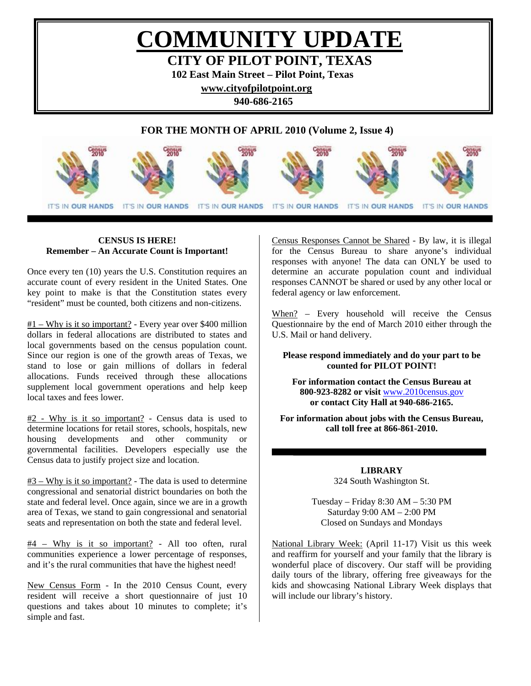# **COMMUNITY UPDATE CITY OF PILOT POINT, TEXAS**

**102 East Main Street – Pilot Point, Texas** 

**[www.cityofpilotpoint.org](http://www.cityofpilotpoint.org/)** 

**940-686-2165** 

# **FOR THE MONTH OF APRIL 2010 (Volume 2, Issue 4)**



# **CENSUS IS HERE! Remember – An Accurate Count is Important!**

I

Once every ten (10) years the U.S. Constitution requires an accurate count of every resident in the United States. One key point to make is that the Constitution states every "resident" must be counted, both citizens and non-citizens.

 $#1 - Why is it so important?$  - Every year over \$400 million dollars in federal allocations are distributed to states and local governments based on the census population count. Since our region is one of the growth areas of Texas, we stand to lose or gain millions of dollars in federal allocations. Funds received through these allocations supplement local government operations and help keep local taxes and fees lower.

#2 - Why is it so important? - Census data is used to determine locations for retail stores, schools, hospitals, new housing developments and other community or governmental facilities. Developers especially use the Census data to justify project size and location.

 $#3 - Why is it so important?$  - The data is used to determine congressional and senatorial district boundaries on both the state and federal level. Once again, since we are in a growth area of Texas, we stand to gain congressional and senatorial seats and representation on both the state and federal level.

#4 – Why is it so important? - All too often, rural communities experience a lower percentage of responses, and it's the rural communities that have the highest need!

New Census Form - In the 2010 Census Count, every resident will receive a short questionnaire of just 10 questions and takes about 10 minutes to complete; it's simple and fast.

Census Responses Cannot be Shared - By law, it is illegal for the Census Bureau to share anyone's individual responses with anyone! The data can ONLY be used to determine an accurate population count and individual responses CANNOT be shared or used by any other local or federal agency or law enforcement.

When? – Every household will receive the Census Questionnaire by the end of March 2010 either through the U.S. Mail or hand delivery.

# **Please respond immediately and do your part to be counted for PILOT POINT!**

**For information contact the Census Bureau at 800-923-8282 or visit** [www.2010census.gov](http://www.2010census.gov/) **or contact City Hall at 940-686-2165.** 

**For information about jobs with the Census Bureau, call toll free at 866-861-2010.** 

> **LIBRARY**  324 South Washington St.

Tuesday – Friday 8:30 AM – 5:30 PM Saturday 9:00 AM – 2:00 PM Closed on Sundays and Mondays

National Library Week: (April 11-17) Visit us this week and reaffirm for yourself and your family that the library is wonderful place of discovery. Our staff will be providing daily tours of the library, offering free giveaways for the kids and showcasing National Library Week displays that will include our library's history.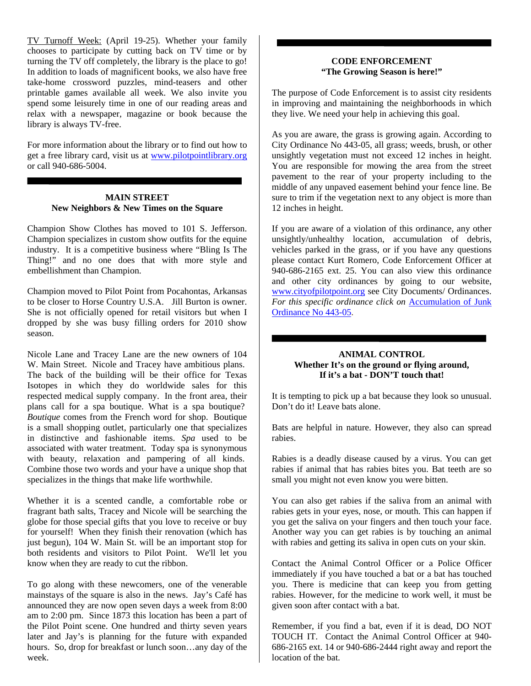TV Turnoff Week: (April 19-25). Whether your family chooses to participate by cutting back on TV time or by turning the TV off completely, the library is the place to go! In addition to loads of magnificent books, we also have free take-home crossword puzzles, mind-teasers and other printable games available all week. We also invite you spend some leisurely time in one of our reading areas and relax with a newspaper, magazine or book because the library is always TV-free.

For more information about the library or to find out how to get a free library card, visit us at [www.pilotpointlibrary.org](http://www.pilotpointlibrary.org/) or call 940-686-5004.

## **MAIN STREET New Neighbors & New Times on the Square**

Champion Show Clothes has moved to 101 S. Jefferson. Champion specializes in custom show outfits for the equine industry. It is a competitive business where "Bling Is The Thing!" and no one does that with more style and embellishment than Champion.

Champion moved to Pilot Point from Pocahontas, Arkansas to be closer to Horse Country U.S.A. Jill Burton is owner. She is not officially opened for retail visitors but when I dropped by she was busy filling orders for 2010 show season.

Nicole Lane and Tracey Lane are the new owners of 104 W. Main Street. Nicole and Tracey have ambitious plans. The back of the building will be their office for Texas Isotopes in which they do worldwide sales for this respected medical supply company. In the front area, their plans call for a spa boutique. What is a spa boutique? *Boutique* comes from the French word for shop. Boutique is a small shopping outlet, particularly one that specializes in distinctive and fashionable items. *Spa* used to be associated with water treatment. Today spa is synonymous with beauty, relaxation and pampering of all kinds. Combine those two words and your have a unique shop that specializes in the things that make life worthwhile.

Whether it is a scented candle, a comfortable robe or fragrant bath salts, Tracey and Nicole will be searching the globe for those special gifts that you love to receive or buy for yourself! When they finish their renovation (which has just begun), 104 W. Main St. will be an important stop for both residents and visitors to Pilot Point. We'll let you know when they are ready to cut the ribbon.

To go along with these newcomers, one of the venerable mainstays of the square is also in the news. Jay's Café has announced they are now open seven days a week from 8:00 am to 2:00 pm. Since 1873 this location has been a part of the Pilot Point scene. One hundred and thirty seven years later and Jay's is planning for the future with expanded hours. So, drop for breakfast or lunch soon…any day of the week.

# **CODE ENFORCEMENT "The Growing Season is here!"**

The purpose of Code Enforcement is to assist city residents in improving and maintaining the neighborhoods in which they live. We need your help in achieving this goal.

As you are aware, the grass is growing again. According to City Ordinance No 443-05, all grass; weeds, brush, or other unsightly vegetation must not exceed 12 inches in height. You are responsible for mowing the area from the street pavement to the rear of your property including to the middle of any unpaved easement behind your fence line. Be sure to trim if the vegetation next to any object is more than 12 inches in height.

If you are aware of a violation of this ordinance, any other unsightly/unhealthy location, accumulation of debris, vehicles parked in the grass, or if you have any questions please contact Kurt Romero, Code Enforcement Officer at 940-686-2165 ext. 25. You can also view this ordinance and other city ordinances by going to our website, [www.cityofpilotpoint.org](http://www.cityofpilotpoint.org/) see City Documents/ Ordinances. *For this specific ordinance click on* [Accumulation of Junk](http://www.cityofpilotpoint.org/objects/Accumulation_of_Junk_443-05.pdf) [Ordinance No 443-05](http://www.cityofpilotpoint.org/objects/Accumulation_of_Junk_443-05.pdf).

# **ANIMAL CONTROL Whether It's on the ground or flying around, If it's a bat - DON'T touch that!**

It is tempting to pick up a bat because they look so unusual. Don't do it! Leave bats alone.

Bats are helpful in nature. However, they also can spread rabies.

Rabies is a deadly disease caused by a virus. You can get rabies if animal that has rabies bites you. Bat teeth are so small you might not even know you were bitten.

You can also get rabies if the saliva from an animal with rabies gets in your eyes, nose, or mouth. This can happen if you get the saliva on your fingers and then touch your face. Another way you can get rabies is by touching an animal with rabies and getting its saliva in open cuts on your skin.

Contact the Animal Control Officer or a Police Officer immediately if you have touched a bat or a bat has touched you. There is medicine that can keep you from getting rabies. However, for the medicine to work well, it must be given soon after contact with a bat.

Remember, if you find a bat, even if it is dead, DO NOT TOUCH IT. Contact the Animal Control Officer at 940- 686-2165 ext. 14 or 940-686-2444 right away and report the location of the bat.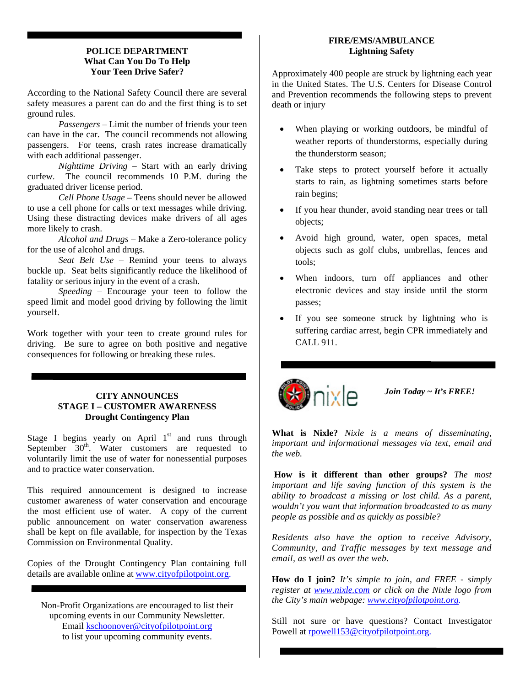### **POLICE DEPARTMENT What Can You Do To Help Your Teen Drive Safer?**

According to the National Safety Council there are several safety measures a parent can do and the first thing is to set ground rules.

 *Passengers –* Limit the number of friends your teen can have in the car. The council recommends not allowing passengers. For teens, crash rates increase dramatically with each additional passenger.

*Nighttime Driving* – Start with an early driving curfew. The council recommends 10 P.M. during the graduated driver license period.

*Cell Phone Usage* – Teens should never be allowed to use a cell phone for calls or text messages while driving. Using these distracting devices make drivers of all ages more likely to crash.

*Alcohol and Drugs* – Make a Zero-tolerance policy for the use of alcohol and drugs.

*Seat Belt Use* – Remind your teens to always buckle up. Seat belts significantly reduce the likelihood of fatality or serious injury in the event of a crash.

*Speeding* – Encourage your teen to follow the speed limit and model good driving by following the limit yourself.

Work together with your teen to create ground rules for driving. Be sure to agree on both positive and negative consequences for following or breaking these rules.

# **CITY ANNOUNCES STAGE I – CUSTOMER AWARENESS Drought Contingency Plan**

Stage I begins yearly on April  $1<sup>st</sup>$  and runs through September  $30<sup>th</sup>$ . Water customers are requested to voluntarily limit the use of water for nonessential purposes and to practice water conservation.

This required announcement is designed to increase customer awareness of water conservation and encourage the most efficient use of water. A copy of the current public announcement on water conservation awareness shall be kept on file available, for inspection by the Texas Commission on Environmental Quality.

Copies of the Drought Contingency Plan containing full details are available online at [www.cityofpilotpoint.org.](http://www.cityofpilotpoint.org/)

Non-Profit Organizations are encouraged to list their upcoming events in our Community Newsletter. Email [kschoonover@cityofpilotpoint.org](mailto:kschoonover@cityofpilotpoint.org) to list your upcoming community events.

# **FIRE/EMS/AMBULANCE Lightning Safety**

Approximately 400 people are struck by lightning each year in the United States. The U.S. Centers for Disease Control and Prevention recommends the following steps to prevent death or injury

- When playing or working outdoors, be mindful of weather reports of thunderstorms, especially during the thunderstorm season;
- Take steps to protect yourself before it actually starts to rain, as lightning sometimes starts before rain begins;
- If you hear thunder, avoid standing near trees or tall objects;
- Avoid high ground, water, open spaces, metal objects such as golf clubs, umbrellas, fences and tools;
- When indoors, turn off appliances and other electronic devices and stay inside until the storm passes;
- If you see someone struck by lightning who is suffering cardiac arrest, begin CPR immediately and CALL 911.



*Join Today ~ It's FREE!*

**What is Nixle?** *Nixle is a means of disseminating, important and informational messages via text, email and the web.* 

**How is it different than other groups?** *The most important and life saving function of this system is the ability to broadcast a missing or lost child. As a parent, wouldn't you want that information broadcasted to as many people as possible and as quickly as possible?*

*Residents also have the option to receive Advisory, Community, and Traffic messages by text message and email, as well as over the web.* 

**How do I join?** *It's simple to join, and FREE - simply register at [www.nixle.com](http://www.nixle.com/) or click on the Nixle logo from the City's main webpage: [www.cityofpilotpoint.org.](http://www.cityofpilotpoint.org/)* 

Still not sure or have questions? Contact Investigator Powell at [rpowell153@cityofpilotpoint.org.](mailto:rpowell153@cityofpilotpoint.org)